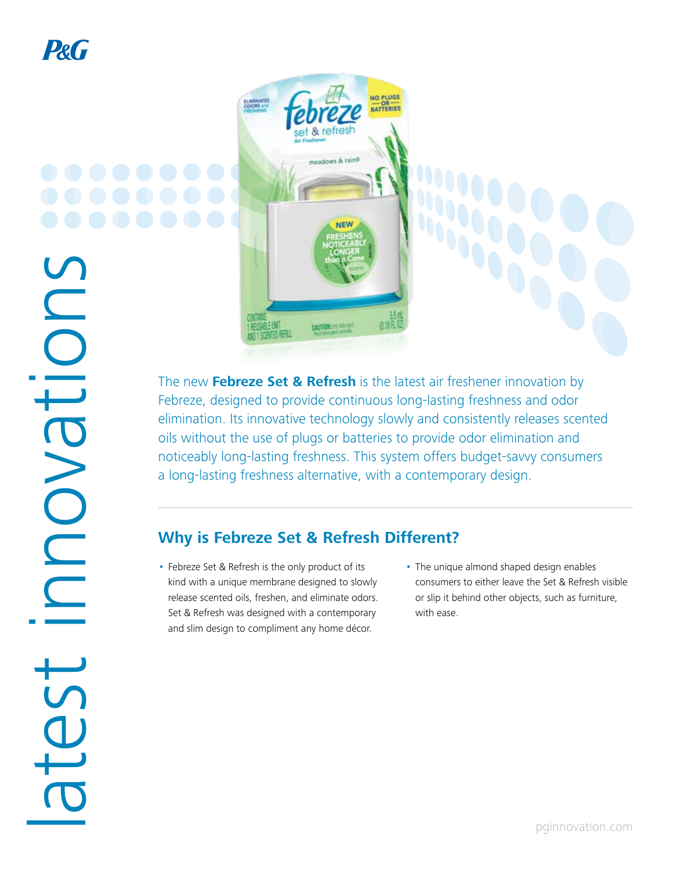



The new **Febreze Set & Refresh** is the latest air freshener innovation by Febreze, designed to provide continuous long-lasting freshness and odor elimination. Its innovative technology slowly and consistently releases scented oils without the use of plugs or batteries to provide odor elimination and noticeably long-lasting freshness. This system offers budget-savvy consumers a long-lasting freshness alternative, with a contemporary design.

- Febreze Set & Refresh is the only product of its kind with a unique membrane designed to slowly release scented oils, freshen, and eliminate odors. Set & Refresh was designed with a contemporary and slim design to compliment any home décor.
- The unique almond shaped design enables consumers to either leave the Set & Refresh visible or slip it behind other objects, such as furniture, with ease.